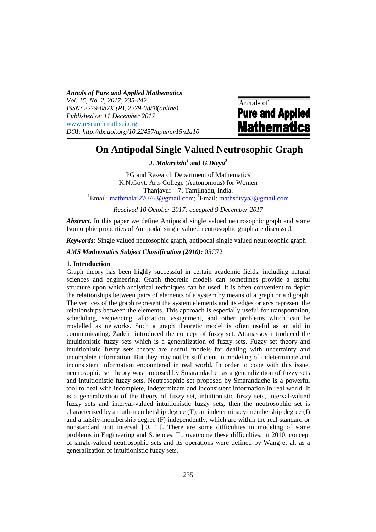*Annals of Pure and Applied Mathematics Vol. 15, No. 2, 2017, 235-242 ISSN: 2279-087X (P), 2279-0888(online) Published on 11 December 2017*  www.researchmathsci.org *DOI: http://dx.doi.org/10.22457/apam.v15n2a10* 

Annals of **Pure and Applied Mathematics** 

# **On Antipodal Single Valued Neutrosophic Graph**

*J. Malarvizhi<sup>1</sup>* **and** *G.Divya<sup>2</sup>*

PG and Research Department of Mathematics K.N.Govt. Arts College (Autonomous) for Women Thanjavur – 7, Tamilnadu, India. <sup>1</sup>Email: mathmalar270763@gmail.com; **<sup>2</sup>**Email: mathsdivya3@gmail.com

*Received 10 October 2017; accepted 9 December 2017* 

*Abstract.* In this paper we define Antipodal single valued neutrosophic graph and some Isomorphic properties of Antipodal single valued neutrosophic graph are discussed.

*Keywords:* Single valued neutosophic graph, antipodal single valued neutrosophic graph

## *AMS Mathematics Subject Classification (2010):* 05C72

## **1. Introduction**

Graph theory has been highly successful in certain academic fields, including natural sciences and engineering. Graph theoretic models can sometimes provide a useful structure upon which analytical techniques can be used. It is often convenient to depict the relationships between pairs of elements of a system by means of a graph or a digraph. The vertices of the graph represent the system elements and its edges or arcs represent the relationships between the elements. This approach is especially useful for transportation, scheduling, sequencing, allocation, assignment, and other problems which can be modelled as networks. Such a graph theoretic model is often useful as an aid in communicating. Zadeh introduced the concept of fuzzy set. Attanassov introduced the intuitionistic fuzzy sets which is a generalization of fuzzy sets. Fuzzy set theory and intuitionistic fuzzy sets theory are useful models for dealing with uncertainty and incomplete information. But they may not be sufficient in modeling of indeterminate and inconsistent information encountered in real world. In order to cope with this issue, neutrosophic set theory was proposed by Smarandache as a generalization of fuzzy sets and intuitionistic fuzzy sets. Neutrosophic set proposed by Smarandache is a powerful tool to deal with incomplete, indeterminate and inconsistent information in real world. It is a generalization of the theory of fuzzy set, intuitionistic fuzzy sets, interval-valued fuzzy sets and interval-valued intuitionistic fuzzy sets, then the neutrosophic set is characterized by a truth-membership degree (T), an indeterminacy-membership degree (I) and a falsity-membership degree (F) independently, which are within the real standard or nonstandard unit interval ]<sup>-</sup>0, 1<sup>+</sup>[. There are some difficulties in modeling of some problems in Engineering and Sciences. To overcome these difficulties, in 2010, concept of single-valued neutrosophic sets and its operations were defined by Wang et al. as a generalization of intuitionistic fuzzy sets.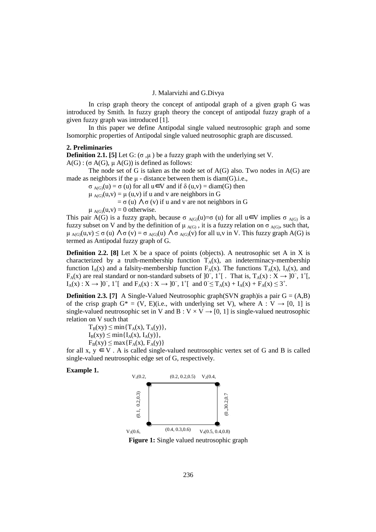In crisp graph theory the concept of antipodal graph of a given graph G was introduced by Smith. In fuzzy graph theory the concept of antipodal fuzzy graph of a given fuzzy graph was introduced [1].

In this paper we define Antipodal single valued neutrosophic graph and some Isomorphic properties of Antipodal single valued neutrosophic graph are discussed.

### **2. Preliminaries**

**Definition 2.1.** [5] Let G:  $(\sigma, \mu)$  be a fuzzy graph with the underlying set V.  $A(G)$ : (σ A(G),  $\mu A(G)$ ) is defined as follows:

The node set of G is taken as the node set of  $A(G)$  also. Two nodes in  $A(G)$  are made as neighbors if the  $\mu$  - distance between them is diam(G).i.e.,

 $\sigma_{A(G)}(u) = \sigma(u)$  for all  $u \in V$  and if  $\delta(u,v) = \text{diam}(G)$  then

 $\mu_{A(G)}(u,v) = \mu(u,v)$  if u and v are neighbors in G

 $= \sigma$  (u)  $\Lambda \sigma$  (v) if u and v are not neighbors in G

 $\mu_{A(G)}(u,v) = 0$  otherwise.

This pair A(G) is a fuzzy graph, because  $\sigma_{A(G)}(u)=\sigma(u)$  for all  $u \in V$  implies  $\sigma_{A(G)}$  is a fuzzy subset on V and by the definition of  $\mu_{A(G)}$ , it is a fuzzy relation on  $\sigma_{A(G)}$ , such that,  $\mu_{\text{AGO}}(u, v) \leq \sigma$  (u)  $\Lambda \sigma$  (v) =  $\sigma_{\text{AGO}}(u)$   $\Lambda \sigma_{\text{AGO}}(v)$  for all u,v in V. This fuzzy graph A(G) is termed as Antipodal fuzzy graph of G.

**Definition 2.2.** [8] Let X be a space of points (objects). A neutrosophic set A in X is characterized by a truth-membership function  $T_A(x)$ , an indeterminacy-membership function  $I_A(x)$  and a falsity-membership function  $F_A(x)$ . The functions  $T_A(x)$ ,  $I_A(x)$ , and F<sub>A</sub>(x) are real standard or non-standard subsets of ]0<sup>-</sup>, 1<sup>+</sup>[. That is, T<sub>A</sub>(x) : X → ]0<sup>-</sup>, 1<sup>+</sup>[,  $I_A(x)$  :  $X \to 0^-$ , 1<sup>+</sup>[ and  $F_A(x)$  :  $X \to 0^-$ , 1<sup>+</sup>[ and  $0^- \le T_A(x) + I_A(x) + F_A(x) \le 3^+$ .

**Definition 2.3.** [7] A Single-Valued Neutrosophic graph(SVN graph) is a pair  $G = (A,B)$ of the crisp graph  $G^* = (V, E)(i.e., with underlying set V)$ , where A :  $V \rightarrow [0, 1]$  is single-valued neutrosophic set in V and B :  $V \times V \rightarrow [0, 1]$  is single-valued neutrosophic relation on V such that

 $T_B(xy) \leq \min\{T_A(x), T_A(y)\},$  $I_B(xy) \leq min\{I_A(x), I_A(y)\},\$  $F_B(xy) \leq max\{F_A(x), F_A(y)\}\$ 

for all x,  $y \in V$ . A is called single-valued neutrosophic vertex set of G and B is called single-valued neutrosophic edge set of G, respectively.

#### **Example 1.**



**Figure 1:** Single valued neutrosophic graph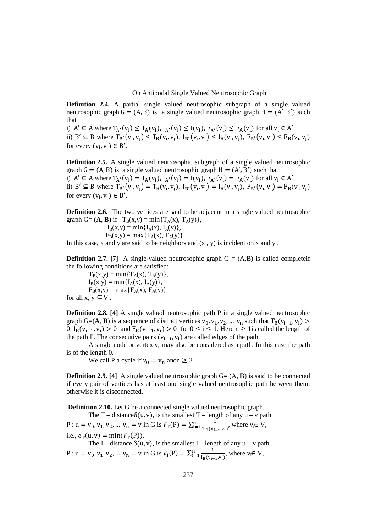On Antipodal Single Valued Neutrosophic Graph

**Definition 2.4.** A partial single valued neutrosophic subgraph of a single valued neutrosophic graph  $G = (A, B)$  is a single valued neutrosophic graph  $H = (A', B')$  such that

i)  $A' \subseteq A$  where  $T_{A'}(v_i) \leq T_A(v_i)$ ,  $I_{A'}(v_i) \leq I(v_i)$ ,  $F_{A'}(v_i) \leq F_A(v_i)$  for all  $v_i \in A'$ ii)  $B' \subseteq B$  where  $T_{B'}(v_i, v_j) \leq T_B(v_i, v_j), I_{B'}(v_i, v_j) \leq I_B(v_i, v_j), F_{B'}(v_i, v_j) \leq F_B(v_i, v_j)$ for every  $(v_i, v_j) \in B'$ .

**Definition 2.5.** A single valued neutrosophic subgraph of a single valued neutrosophic graph  $G = (A, B)$  is a single valued neutrosophic graph  $H = (A', B')$  such that i)  $A' \subseteq A$  where  $T_{A'}(v_i) = T_A(v_i)$ ,  $I_{A'}(v_i) = I(v_i)$ ,  $F_{A'}(v_i) = F_A(v_i)$  for all  $v_i \in A'$ ii)  $B' \subseteq B$  where  $T_{B'}(v_i, v_j) = T_B(v_i, v_j), I_{B'}(v_i, v_j) = I_B(v_i, v_j), F_{B'}(v_i, v_j) = F_B(v_i, v_j)$ for every  $(v_i, v_j) \in B'$ .

**Definition 2.6.** The two vertices are said to be adjacent in a single valued neutrosophic graph G=  $(\mathbf{A}, \mathbf{B})$  if  $T_B(x,y) = \min\{T_A(x), T_A(y)\},$ 

> $I_B(x,y) = min{I_A(x), I_A(y)},$  $F_B(x,y) = \max\{F_A(x), F_A(y)\}.$

In this case, x and y are said to be neighbors and  $(x, y)$  is incident on x and y.

**Definition 2.7.** [7] A single-valued neutrosophic graph  $G = (A,B)$  is called completeif the following conditions are satisfied:

 $T_B(x,y) = min{T_A(x), T_A(y)},$  $I_B(x,y) = min{I_A(x), I_A(y)},$  $F_B(x,y) = max{F_A(x), F_A(y)}$ for all  $x, y \in V$ .

**Definition 2.8. [4]** A single valued neutrosophic path P in a single valued neutrosophic graph G=(**A**, **B**) is a sequence of distinct vertices  $v_0$ ,  $v_1$ ,  $v_2$ , ...  $v_n$  such that  $T_B(v_{i-1}, v_i)$  >  $0, I_B(v_{i-1}, v_i) > 0$  and  $F_B(v_{i-1}, v_i) > 0$  for  $0 \le i \le 1$ . Here  $n \ge 1$  is called the length of the path P. The consecutive pairs  $(v_{i-1}, v_i)$  are called edges of the path.

A single node or vertex  $v_i$  may also be considered as a path. In this case the path is of the length 0.

We call P a cycle if  $v_0 = v_n$  andn  $\geq 3$ .

**Definition 2.9.** [4] A single valued neutrosophic graph  $G = (A, B)$  is said to be connected if every pair of vertices has at least one single valued neutrosophic path between them, otherwise it is disconnected.

 **Definition 2.10.** Let G be a connected single valued neutrosophic graph.

The T – distance  $\delta(u, v)$ , is the smallest T – length of any  $u - v$  path  $P: u = v_0, v_1, v_2, ... v_n = v$  in G is  $\ell_{\rm T}(P) = \sum_{i=1}^n \frac{1}{T_P(v_i)}$  $T_{B}(v_{i-1},v_{i})$  $\prod_{i=1}^{n} \frac{1}{T_{P}(v_{i-1}, v_i)},$  where  $v_i \in V$ , i.e.,  $\delta_{\rm T}(u, v) = \min(\ell_{\rm T}(P)).$ The I – distance  $\delta(u, v)$ , is the smallest I – length of any  $u - v$  path  $P: u = v_0, v_1, v_2, ... v_n = v$  in G is  $\ell_1(P) = \sum_{i=1}^n \frac{1}{\ln(v_i)}$  $I_B(v_{i-1},v_i)$  $\lim_{i=1}^n \frac{1}{\ln(v_{i-1}, v_i)},$  where  $v_i \in V$ ,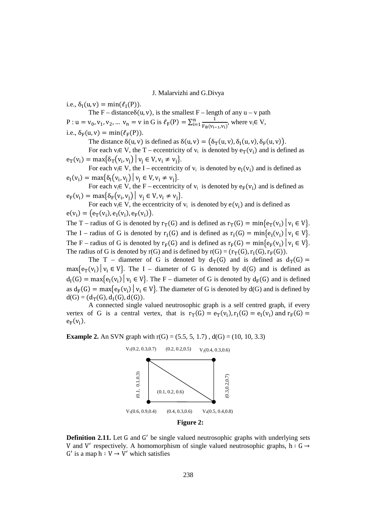i.e.,  $\delta_{\rm I}(\mathbf{u}, \mathbf{v}) = \min(\ell_{\rm I}(\mathbf{P})).$ 

The F – distance  $\delta(u, v)$ , is the smallest F – length of any  $u - v$  path P : u = v<sub>0</sub>, v<sub>1</sub>, v<sub>2</sub>, ... v<sub>n</sub> = v in G is  $\ell_F(P) = \sum_{i=1}^n \frac{1}{F_P(V_i)}$  $F_B(v_{i-1}, v_i)$  $\lim_{i=1}^n \frac{1}{F_P(v_{i-1},v_i)},$  where  $v_i \in V$ ,

i.e., 
$$
\delta_F(u, v) = \min(\ell_F(P)).
$$

The distance  $\delta(u, v)$  is defined as  $\delta(u, v) = (\delta_T(u, v), \delta_T(u, v), \delta_F(u, v))$ .

For each  $v_i \in V$ , the T – eccentricity of  $v_i$  is denoted by  $e_T(v_i)$  and is defined as  $e_T(v_i) = \max\{\delta_T(v_i, v_j) | v_j \in V, v_i \neq v_j\}.$ 

For each  $v_i \in V$ , the I – eccentricity of  $v_i$  is denoted by  $e_I(v_i)$  and is defined as  $e_{I}(v_{i}) = \max\{\delta_{I}(v_{i}, v_{j}) | v_{j} \in V, v_{i} \neq v_{j}\}.$ 

For each  $v_i \in V$ , the F – eccentricity of  $v_i$  is denoted by  $e_F(v_i)$  and is defined as  $e_F(v_i) = \max\{\delta_F(v_i, v_j) \mid v_j \in V, v_i \neq v_j\}.$ 

For each  $v_i \in V$ , the eccentricity of  $v_i$  is denoted by  $e(v_i)$  and is defined as  $e(v_i) = (e_T(v_i), e_I(v_i), e_F(v_i)).$ 

The T – radius of G is denoted by  $r_T(G)$  and is defined as  $r_T(G) = \min\{e_T(v_i) | v_i \in V\}$ . The I – radius of G is denoted by  $r_1(G)$  and is defined as  $r_1(G) = \min\{e_1(v_i) \mid v_i \in V\}$ . The F – radius of G is denoted by  $r_F(G)$  and is defined as  $r_F(G) = \min\{e_F(v_i) \mid v_i \in V\}$ . The radius of G is denoted by  $r(G)$  and is defined by  $r(G) = (r_T(G), r_I(G), r_F(G))$ .

The T – diameter of G is denoted by  $d_T(G)$  and is defined as  $d_T(G)$  =  $max\{e_T(v_i) | v_i \in V\}$ . The I – diameter of G is denoted by  $d(G)$  and is defined as  $d_I(G) = \max\{e_I(v_i) \mid v_i \in V\}$ . The F – diameter of G is denoted by  $d_F(G)$  and is defined as  $d_F(G) = \max\{e_F(v_i) \mid v_i \in V\}$ . The diameter of G is denoted by  $d(G)$  and is defined by  $d(G) = (d_T(G), d_I(G), d(G)).$ 

A connected single valued neutrosophic graph is a self centred graph, if every vertex of G is a central vertex, that is  $r_T(G) = e_T(v_i)$ ,  $r_I(G) = e_I(v_i)$  and  $r_F(G) =$  $e_F(v_i)$ .

**Example 2.** An SVN graph with  $r(G) = (5.5, 5, 1.7)$ ,  $d(G) = (10, 10, 3.3)$ 



**Definition 2.11.** Let G and G' be single valued neutrosophic graphs with underlying sets V and V' respectively. A homomorphism of single valued neutrosophic graphs,  $h: G \rightarrow$  $G'$  is a map  $h: V \rightarrow V'$  which satisfies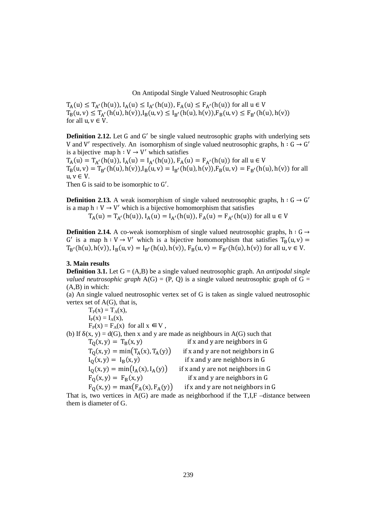On Antipodal Single Valued Neutrosophic Graph

 $T_A(u) \le T_{A'}(h(u)), I_A(u) \le I_{A'}(h(u)), F_A(u) \le F_{A'}(h(u))$  for all  $u \in V$  $T_B(u, v) \le T_{A'}(h(u), h(v)), I_B(u, v) \le I_{B'}(h(u), h(v)), F_B(u, v) \le F_{B'}(h(u), h(v))$ for all  $u, v \in V$ .

**Definition 2.12.** Let G and G' be single valued neutrosophic graphs with underlying sets V and V' respectively. An isomorphism of single valued neutrosophic graphs,  $h: G \rightarrow G'$ is a bijective map  $h: V \rightarrow V'$  which satisfies

 $T_A(u) = T_{A'}(h(u)), I_A(u) = I_{A'}(h(u)), F_A(u) = F_{A'}(h(u))$  for all  $u \in V$  $T_B(u, v) = T_{B'}(h(u), h(v)), I_B(u, v) = I_{B'}(h(u), h(v)), F_B(u, v) = F_{B'}(h(u), h(v))$  for all  $u, v \in V$ .

Then G is said to be isomorphic to G'.

**Definition 2.13.** A weak isomorphism of single valued neutrosophic graphs,  $h: G \rightarrow G'$ is a map  $h: V \to V'$  which is a bijective homomorphism that satisfies

 $T_A(u) = T_{A'}(h(u)), I_A(u) = I_{A'}(h(u)), F_A(u) = F_{A'}(h(u))$  for all  $u \in V$ 

**Definition 2.14.** A co-weak isomorphism of single valued neutrosophic graphs, h:  $G \rightarrow$ G' is a map  $h: V \to V'$  which is a bijective homomorphism that satisfies  $T_B(u, v) =$  $T_{B'}(h(u), h(v)), I_B(u, v) = I_{B'}(h(u), h(v)), F_B(u, v) = F_{B'}(h(u), h(v))$  for all  $u, v \in V$ .

## **3. Main results**

**Definition 3.1.** Let  $G = (A,B)$  be a single valued neutrosophic graph. An *antipodal single valued neutrosophic graph*  $A(G) = (P, Q)$  is a single valued neutrosophic graph of  $G =$ (A,B) in which:

(a) An single valued neutrosophic vertex set of G is taken as single valued neutrosophic vertex set of A(G), that is,

 $T_P(x) = T_A(x)$ ,  $I_P(x) = I_A(x)$ ,  $F_P(x) = F_A(x)$  for all  $x \in V$ , (b) If  $\delta(x, y) = d(G)$ , then x and y are made as neighbours in A(G) such that  $T_0(x, y) = T_B(x, y)$  if x and y are neighbors in G

 $T_Q(x, y) = min(T_A(x), T_A(y))$  if x and y are not neighbors in G<br>  $I_Q(x, y) = I_B(x, y)$  if x and y are neighbors in G if x and y are neighbors in  $G$  $I_Q(x, y) = min(I_A(x), I_A(y))$  if x and y are not neighbors in G<br>  $F_Q(x, y) = F_B(x, y)$  if x and y are neighbors in G if x and y are neighbors in  $G$ 

 $F_0(x, y) = \max(F_A(x), F_A(y))$  if x and y are not neighbors in G That is, two vertices in  $A(G)$  are made as neighborhood if the T,I,F –distance between them is diameter of G.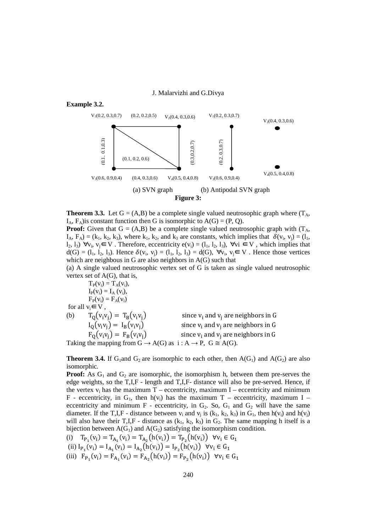

**Theorem 3.3.** Let  $G = (A,B)$  be a complete single valued neutrosophic graph where  $(T_A, T_A)$  $I_A$ ,  $F_A$ ) is constant function then G is isomorphic to  $A(G) = (P, Q)$ .

**Proof:** Given that  $G = (A,B)$  be a complete single valued neutrosophic graph with  $(T_A, T_A)$  $I_A$ ,  $F_A$ ) = (k<sub>1</sub>, k<sub>2</sub>, k<sub>3</sub>), where k<sub>1</sub>, k<sub>2</sub>, and k<sub>3</sub> are constants, which implies that  $\delta(v_i, v_j) = (l_1, l_2, l_3)$  $l_2, l_3$ )  $\forall v_i, v_j \in V$ . Therefore, eccentricity  $e(v_i) = (l_1, l_2, l_3)$ ,  $\forall v_i \in V$ , which implies that  $d(G) = (l_1, l_2, l_3)$ . Hence  $\delta(v_i, v_j) = (l_1, l_2, l_3) = d(G)$ ,  $\forall v_i, v_j \in V$ . Hence those vertices which are neighbous in G are also neighbors in A(G) such that

(a) A single valued neutrosophic vertex set of G is taken as single valued neutrosophic vertex set of A(G), that is,

 $T_{P}(v_i) = T_{A}(v_i),$  $I_{P}(v_{i}) = I_{A}(v_{i}),$  $F_P(v_i) = F_A(v_i)$ for all  $v_i \in V$ ,

(b)  $T_0(v_i v_i) = T_B(v_i v_i)$ and  $v_j$  are neighbors in G  $I_0(v_i v_i) = I_B(v_i v_i)$ and  $v_j$  are neighbors in G  $F_0(v_i v_i) = F_B(v_i v_i)$ and  $v_j$  are neighbors in G Taking the mapping from  $G \to A(G)$  as  $i : A \to P$ ,  $G \cong A(G)$ .

**Theorem 3.4.** If G<sub>1</sub>and G<sub>2</sub> are isomorphic to each other, then  $A(G_1)$  and  $A(G_2)$  are also isomorphic*.*

**Proof:** As  $G_1$  and  $G_2$  are isomorphic, the isomorphism h, between them pre-serves the edge weights, so the T,I,F - length and T,I,F- distance will also be pre-served. Hence, if the vertex  $v_i$  has the maximum T – eccentricity, maximum I – eccentricity and minimum F - eccentricity, in  $G_1$ , then  $h(v_i)$  has the maximum T – eccentricity, maximum I – eccentricity and minimum F - eccentricity, in  $G_2$ . So,  $G_1$  and  $G_2$  will have the same diameter. If the T,I,F - distance between  $v_i$  and  $v_j$  is  $(k_1, k_2, k_3)$  in  $G_1$ , then  $h(v_i)$  and  $h(v_j)$ will also have their T,I,F - distance as  $(k_1, k_2, k_3)$  in  $G_2$ . The same mapping h itself is a bijection between  $A(G_1)$  and  $A(G_2)$  satisfying the isomorphism condition.

(i)  $T_{P_1}(v_i) = T_{A_1}(v_i) = T_{A_2}(h(v_i)) = T_{P_2}(h(v_i)) \forall v_i \in G_1$ (ii)  $I_{P_1}(v_i) = I_{A_1}(v_i) = I_{A_2}(h(v_i)) = I_{P_2}(h(v_i)) \quad \forall v_i \in G_1$ (iii)  $F_{P_1}(v_i) = F_{A_1}(v_i) = F_{A_2}(h(v_i)) = F_{P_2}(h(v_i)) \quad \forall v_i \in G_1$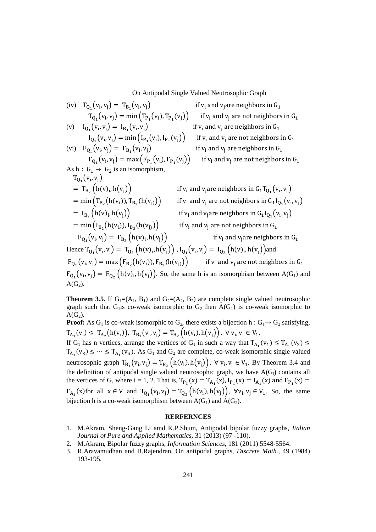On Antipodal Single Valued Neutrosophic Graph

(iv) 
$$
T_{Q_1}(v_i, v_j) = T_{B_1}(v_i, v_j)
$$
 if  $v_i$  and  $v_j$  are neighbors in  $G_1$   
\n(v)  $I_{Q_1}(v_i, v_j) = \min(T_{P_1}(v_i, V_j))$  if  $v_i$  and  $v_j$  are not neighbors in  $G_1$   
\n(v)  $I_{Q_1}(v_i, v_j) = I_{B_1}(v_i, v_j)$  if  $v_i$  and  $v_j$  are neighbors in  $G_1$   
\n(vi)  $F_{Q_1}(v_i, v_j) = \text{max}(I_{P_1}(v_i, V_j))$  if  $v_i$  and  $v_j$  are neighbors in  $G_1$   
\n(vi)  $F_{Q_1}(v_i, v_j) = \text{max}(F_{P_1}(v_i, V_j))$  if  $v_i$  and  $v_j$  are neighbors in  $G_1$   
\nAs  $h : G_1 \rightarrow G_2$  is an isomorphism,  
\n $T_{Q_1}(v_i, v_j)$  if  $v_i$  and  $v_j$  are not neighbors in  $G_1$   
\nAs  $h : G_1 \rightarrow G_2$  is an isomorphism,  
\n $T_{Q_1}(v_i, v_j)$  if  $v_i$  and  $v_j$  are neighbors in  $G_1T_{Q_1}(v_i, v_j)$   
\n $= \min(T_{B_2}(h(v_i)), h(v_j))$  if  $v_i$  and  $v_j$  are not neighbors in  $G_1I_{Q_1}(v_i, v_j)$   
\n $= \min(T_{B_2}(h(v_i), h(v_j)))$  if  $v_i$  and  $v_j$  are not neighbors in  $G_1I_{Q_1}(v_i, v_j)$   
\n $= \min(I_{B_2}(h(v_i), h(v_j)))$  if  $v_i$  and  $v_j$  are not neighbors in  $G_1$   
\n $F_{Q_1}(v_i, v_j) = F_{B_2}(h(v_i), h(v_j))$ ,  $I_{Q_1}(v_i, v_j) = I_{Q_2}(h(v_i), h(v_j))$  and  
\n $F_{Q_1}(v_i, v_j) = \max(F_{B_2}(h(v_i), h(v_j))$ ,  $I$ 

**Theorem 3.5.** If  $G_1 = (A_1, B_1)$  and  $G_2 = (A_2, B_2)$  are complete single valued neutrosophic graph such that G<sub>1</sub>is co-weak isomorphic to G<sub>2</sub> then  $A(G_1)$  is co-weak isomorphic to  $A(G_2)$ .

 $A(G_2)$ .

**Proof:** As  $G_1$  is co-weak isomorphic to  $G_2$ , there exists a bijection h :  $G_1 \rightarrow G_2$  satisfying,  $T_{A_1}(v_i) \leq T_{A_2}(h(v_i)), T_{B_1}(v_i, v_j) = T_{B_2}(h(v_i), h(v_j)), \forall v_i, v_j \in V_1.$ 

If G<sub>1</sub> has n vertices, arrange the vertices of G<sub>1</sub> in such a way that  $T_{A_1}(v_1) \le T_{A_1}(v_2) \le$  $T_{A_1}(v_3) \leq \cdots \leq T_{A_1}(v_n)$ . As  $G_1$  and  $G_2$  are complete, co-weak isomorphic single valued neutrosophic graph  $T_{B_1}(v_i, v_j) = T_{B_2}(h(v_i), h(v_j)), \forall v_i, v_j \in V_1$ . By Theorem 3.4 and the definition of antipodal single valued neutrosophic graph, we have  $A(G_i)$  contains all the vertices of G, where i = 1, 2. That is,  $T_{P_1}(x) = T_{A_1}(x)$ ,  $I_{P_1}(x) = I_{A_1}(x)$  and  $F_{P_1}(x) =$  $F_{A_1}(x)$  for all  $x \in V$  and  $T_{Q_1}(v_i, v_j) = T_{Q_2}(h(v_i), h(v_j)), \forall v_i, v_j \in V_1$ . So, the same bijection h is a co-weak isomorphism between  $A(G_1)$  and  $A(G_2)$ .

## **RERFERNCES**

- 1. M.Akram, Sheng-Gang Li amd K.P.Shum, Antipodal bipolar fuzzy graphs, *Italian Journal of Pure and Applied Mathematics,* 31 (2013) (97 -110).
- 2. M.Akram, Bipolar fuzzy graphs, *Information Sciences*, 181 (2011) 5548-5564.
- 3. R.Aravamudhan and B.Rajendran, On antipodal graphs, *Discrete Math.*, 49 (1984) 193-195.